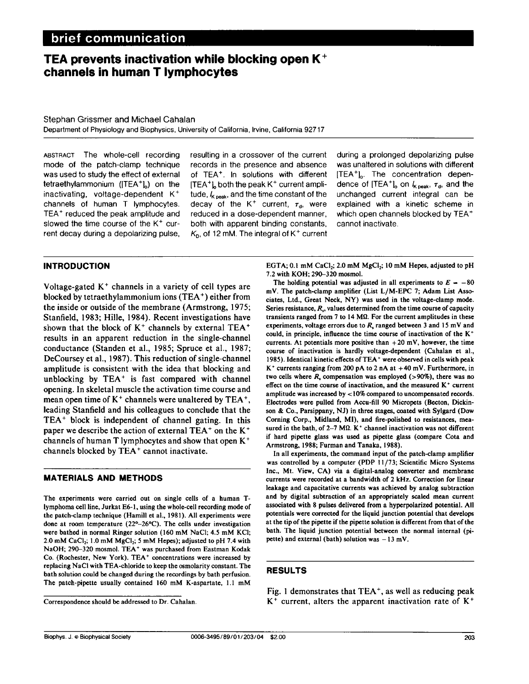# brief communication

# TEA prevents inactivation while blocking open  $K^+$ channels in human T lymphocytes

### Stephan Grissmer and Michael Cahalan

Department of Physiology and Biophysics, University of California, Irvine, California 92717

mode of the patch-clamp technique records in the presence and absence was unaltered in solutions with different was used to study the effect of external of TEA<sup>+</sup>. In solutions with different [TEA<sup>+</sup>]<sub>0</sub>. The concentration depentetraethylammonium ([TEA<sup>+</sup>]<sub>o</sub>) on the [TEA<sup>+</sup>]<sub>o</sub> both the peak K<sup>+</sup> current ampli- dence of [TEA<sup>+</sup>]<sub>o</sub> on  $k_{\text{peak}}$ ,  $\tau_d$ , and the inactivating, voltage-dependent K<sup>+</sup> tude,  $k_{\text{peak}}$ , and the time constant of the un channels of human T lymphocytes. decay of the K<sup>+</sup> current,  $\tau_d$ , were explained with a kinetic scheme in TEA<sup>+</sup> reduced the peak amplitude and reduced in a dose-dependent manner, which open channels blocked by TEA<sup>+</sup> slowed the time course of the  $K^+$  cur- both with apparent binding constants, cannot inactivate. rent decay during a depolarizing pulse,  $K<sub>D</sub>$ , of 12 mM. The integral of K<sup>+</sup> current

tude,  $k_{\text{peak}}$ , and the time constant of the

ABSTRACT The whole-cell recording resulting in a crossover of the current during a prolonged depolarizing pulse

## INTRODUCTION

Voltage-gated  $K<sup>+</sup>$  channels in a variety of cell types are blocked by tetraethylammonium ions (TEA') either from the inside or outside of the membrane (Armstrong, 1975; Stanfield, 1983; Hille, 1984). Recent investigations have shown that the block of  $K^+$  channels by external TEA<sup>+</sup> results in an apparent reduction in the single-channel conductance (Standen et al., 1985; Spruce et al., 1987; DeCoursey et al., 1987). This reduction of single-channel amplitude is consistent with the idea that blocking and unblocking by TEA' is fast compared with channel opening. In skeletal muscle the activation time course and mean open time of  $K^+$  channels were unaltered by  $TEA^+$ , leading Stanfield and his colleagues to conclude that the TEA' block is independent of channel gating. In this paper we describe the action of external TEA<sup>+</sup> on the K<sup>+</sup> channels of human T lymphocytes and show that open K+ channels blocked by TEA' cannot inactivate.

### MATERIALS AND METHODS

The experiments were carried out on single cells of a human Tlymphoma cell line, Jurkat E6-1, using the whole-cell recording mode of the patch-clamp technique (Hamill et al., 1981). All experiments were done at room temperature (22°-26°C). The cells under investigation were bathed in normal Ringer solution (160 mM NaCl; 4.5 mM KCI; 2.0 mM CaCl<sub>2</sub>; 1.0 mM MgCl<sub>2</sub>; 5 mM Hepes); adjusted to pH 7.4 with NaOH; 290-320 mosmol. TEA' was purchased from Eastman Kodak Co. (Rochester, New York). TEA' concentrations were increased by replacing NaCl with TEA-chloride to keep the osmolarity constant. The bath solution could be changed during the recordings by bath perfusion. The patch-pipette usually contained <sup>160</sup> mM K-aspartate, 1.1 mM EGTA;  $0.1 \text{ mM CaCl}_2$ ;  $2.0 \text{ mM MgCl}_2$ ;  $10 \text{ mM Hepes}$ , adjusted to pH 7.2 with KOH; 290-320 mosmol.

The holding potential was adjusted in all experiments to  $E = -80$ mV. The patch-clamp amplifier (List L/M-EPC 7; Adam List Associates, Ltd., Great Neck, NY) was used in the voltage-clamp mode. Series resistance,  $R<sub>2</sub>$ , values determined from the time course of capacity transients ranged from 7 to 14  $\text{M}\Omega$ . For the current amplitudes in these experiments, voltage errors due to  $R<sub>s</sub>$  ranged between 3 and 15 mV and could, in principle, influence the time course of inactivation of the  $K^+$ currents. At potentials more positive than  $+20$  mV, however, the time course of inactivation is hardly voltage-dependent (Cahalan et al., 1985). Identical kinetic effects of TEA+ were observed in cells with peak  $K^+$  currents ranging from 200 pA to 2 nA at  $+40$  mV. Furthermore, in two cells where  $R$ , compensation was employed (>90%), there was no effect on the time course of inactivation, and the measured  $K<sup>+</sup>$  current amplitude was increased by <10% compared to uncompensated records. Electrodes were pulled from Accu-fill 90 Micropets (Becton, Dickinson & Co., Parsippany, NJ) in three stages, coated with Sylgard (Dow Corning Corp., Midland, MI), and fire-polished to resistances, measured in the bath, of 2-7 M $\Omega$ . K<sup>+</sup> channel inactivation was not different if hard pipette glass was used as pipette glass (compare Cota and Armstrong, 1988; Furman and Tanaka, 1988).

In all experiments, the command input of the patch-clamp amplifier was controlled by a computer (PDP 11/73; Scientific Micro Systems Inc., Mt. View, CA) via a digital-analog converter and membrane currents were recorded at a bandwidth of 2 kHz. Correction for linear leakage and capacitative currents was achieved by analog subtraction and by digital subtraction of an appropriately scaled mean current associated with 8 pulses delivered from a hyperpolarized potential. All potentials were corrected for the liquid junction potential that develops at the tip of the pipette if the pipette solution is different from that of the bath. The liquid junction potential between the normal internal (pipette) and external (bath) solution was  $-13$  mV.

#### RESULTS

Fig. <sup>1</sup> demonstrates that TEA', as well as reducing peak  $K^+$  current, alters the apparent inactivation rate of  $K^+$ 

Correspondence should be addressed to Dr. Cahalan.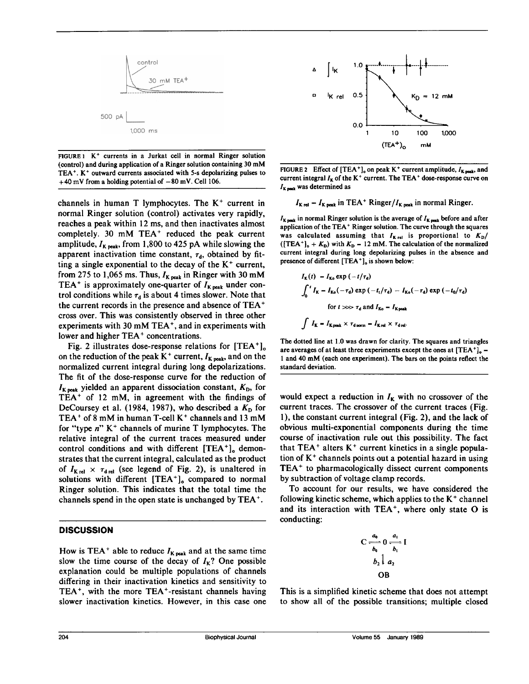

FIGURE 1 K<sup>+</sup> currents in a Jurkat cell in normal Ringer solution (control) and during application of <sup>a</sup> Ringer solution containing <sup>30</sup> mM TEA'. K+ outward currents associated with 5-s depolarizing pulses to  $+40$  mV from a holding potential of  $-80$  mV. Cell 106.

channels in human T lymphocytes. The  $K^+$  current in normal Ringer solution (control) activates very rapidly, reaches a peak within 12 ms, and then inactivates almost completely. <sup>30</sup> mM TEA' reduced the peak current amplitude,  $I_{K\text{ peak}}$ , from 1,800 to 425 pA while slowing the apparent inactivation time constant,  $\tau_d$ , obtained by fitting a single exponential to the decay of the  $K^+$  current, from 275 to 1,065 ms. Thus,  $I_{K\text{ peak}}$  in Ringer with 30 mM TEA<sup>+</sup> is approximately one-quarter of  $I_{K\text{peak}}$  under control conditions while  $\tau_d$  is about 4 times slower. Note that the current records in the presence and absence of TEA' cross over. This was consistently observed in three other experiments with <sup>30</sup> mM TEA', and in experiments with lower and higher TEA' concentrations.

Fig. 2 illustrates dose-response relations for  $[TEA^+]$ <sub>o</sub> on the reduction of the peak  $K^+$  current,  $I_{K\text{ peak}}$ , and on the normalized current integral during long depolarizations. The fit of the dose-response curve for the reduction of  $I_{K\text{peak}}$  yielded an apparent dissociation constant,  $K_{D}$ , for TEA' of <sup>12</sup> mM, in agreement with the findings of DeCoursey et al. (1984, 1987), who described a  $K<sub>D</sub>$  for TEA<sup>+</sup> of 8 mM in human T-cell  $K^+$  channels and 13 mM for "type  $n$ " K<sup>+</sup> channels of murine T lymphocytes. The relative integral of the current traces measured under control conditions and with different  $[TEA^+]_0$  demonstrates that the current integral, calculated as the product of  $I_{\text{K rel}} \times \tau_{\text{d rel}}$  (see legend of Fig. 2), is unaltered in solutions with different  $[TEA<sup>+</sup>]_{o}$  compared to normal Ringer solution. This indicates that the total time the channels spend in the open state is unchanged by TEA'.

## **DISCUSSION**

How is TEA<sup>+</sup> able to reduce  $I_{K\text{ peak}}$  and at the same time slow the time course of the decay of  $I_K$ ? One possible explanation could be multiple populations of channels differing in their inactivation kinetics and sensitivity to TEA<sup>+</sup>, with the more TEA<sup>+</sup>-resistant channels having slower inactivation kinetics. However, in this case one



FIGURE 2 Effect of  $[TEA^+]_0$  on peak K<sup>+</sup> current amplitude,  $I_{K\text{ peak}}$ , and current integral  $I_K$  of the K<sup>+</sup> current. The TEA<sup>+</sup> dose-response curve on  $I_{K \text{ most}}$  was determined as

$$
I_{K \text{ rel}} = I_{K \text{ peak}}
$$
 in TEA<sup>+</sup> Ringer/ $I_{K \text{ peak}}$  in normal Ringer.

 $I_{K, peak}$  in normal Ringer solution is the average of  $I_{K, peak}$  before and after application of the TEA' Ringer solution. The curve through the squares was calculated assuming that  $I_{K \text{rel}}$  is proportional to  $K_{D}/$ ( $[TEA^+]_o + K_D$ ) with  $K_D - 12$  mM. The calculation of the normalized current integral during long depolarizing pulses in the absence and presence of different [TEA<sup>+</sup>]<sub>o</sub> is shown below:

$$
I_{\mathbf{K}}(t) - I_{\mathbf{K}0} \exp(-t/\tau_{\mathbf{d}})
$$
  

$$
\int_{0}^{t} I_{\mathbf{K}} - I_{\mathbf{K}0}(-\tau_{\mathbf{d}}) \exp(-t_{\mathbf{t}}/\tau_{\mathbf{d}}) - I_{\mathbf{K}0}(-\tau_{\mathbf{d}}) \exp(-t_{0}/\tau_{\mathbf{d}})
$$
  
for  $t \gg \gg \tau_{\mathbf{d}}$  and  $I_{\mathbf{K}0} - I_{\mathbf{K} \text{peak}}$   

$$
\int I_{\mathbf{K}} - I_{\mathbf{K} \text{peak}} \times \tau_{\mathbf{d} \text{norm}} - I_{\mathbf{K} \text{rel}} \times \tau_{\mathbf{d} \text{rel}}.
$$

The dotted line at 1.0 was drawn for clarity. The squares and triangles are averages of at least three experiments except the ones at  $[TEA^+]_o =$ <sup>1</sup> and <sup>40</sup> mM (each one experiment). The bars on the points reflect the standard deviation.

would expect a reduction in  $I_K$  with no crossover of the current traces. The crossover of the current traces (Fig. 1), the constant current integral (Fig. 2), and the lack of obvious multi-exponential components during the time course of inactivation rule out this possibility. The fact that  $TEA<sup>+</sup>$  alters  $K<sup>+</sup>$  current kinetics in a single population of  $K<sup>+</sup>$  channels points out a potential hazard in using TEA' to pharmacologically dissect current components by subtraction of voltage clamp records.

To account for our results, we have considered the following kinetic scheme, which applies to the  $K^+$  channel and its interaction with TEA<sup>+</sup>, where only state O is conducting:

$$
C \xrightarrow[b_0]{a_0} 0 \xrightarrow[b_1]{a_1} I
$$
  

$$
b_2 \parallel a_2
$$
  
OB

This is a simplified kinetic scheme that does not attempt to show all of the possible transitions; multiple closed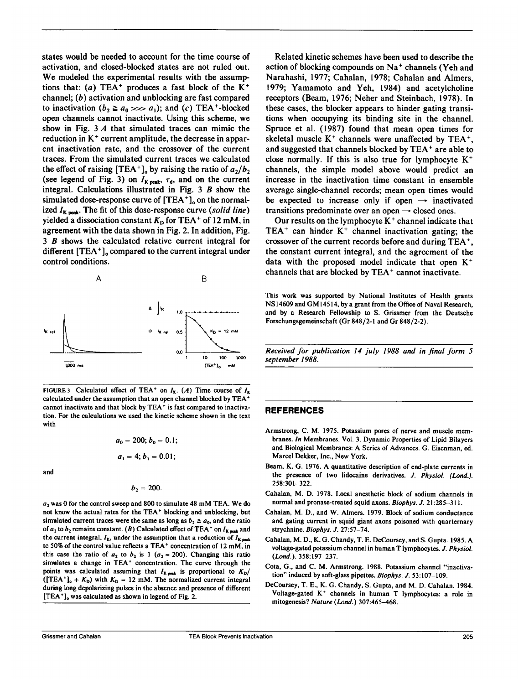states would be needed to account for the time course of activation, and closed-blocked states are not ruled out. We modeled the experimental results with the assumptions that: (a) TEA<sup>+</sup> produces a fast block of the  $K^+$ channel;  $(b)$  activation and unblocking are fast compared to inactivation  $(b_2 \ge a_0 \gg a_1)$ ; and  $(c)$  TEA<sup>+</sup>-blocked open channels cannot inactivate. Using this scheme, we show in Fig. <sup>3</sup> A that simulated traces can mimic the reduction in K<sup>+</sup> current amplitude, the decrease in apparent inactivation rate, and the crossover of the current traces. From the simulated current traces we calculated the effect of raising  $[TEA^+]_o$  by raising the ratio of  $a_2/b_2$ (see legend of Fig. 3) on  $I_{K\text{ peak}}$ ,  $\tau_d$ , and on the current integral. Calculations illustrated in Fig. <sup>3</sup> B show the simulated dose-response curve of  $[TEA^+]$ <sub>o</sub> on the normalized  $I_{\text{K peak}}$ . The fit of this dose-response curve (solid line) yielded a dissociation constant  $K<sub>D</sub>$  for TEA<sup>+</sup> of 12 mM, in agreement with the data shown in Fig. 2. In addition, Fig. <sup>3</sup> B shows the calculated relative current integral for different  $[TEA^+]$ , compared to the current integral under control conditions.



FIGURE 3 Calculated effect of TEA<sup>+</sup> on  $I_K$ . (A) Time course of  $I_K$ calculated under the assumption that an open channel blocked by TEA+ cannot inactivate and that block by TEA' is fast compared to inactivation. For the calculations we used the kinetic scheme shown in the text with

$$
a_0 = 200; b_0 = 0.1;
$$
  
 $a_1 = 4; b_1 = 0.01;$ 

and

$$
b_2=200.
$$

 $a_2$  was 0 for the control sweep and 800 to simulate 48 mM TEA. We do not know the actual rates for the TEA' blocking and unblocking, but simulated current traces were the same as long as  $b_2 \ge a_0$ , and the ratio of  $a_2$  to  $b_2$  remains constant. (B) Calculated effect of TEA<sup>+</sup> on  $I_{K, \text{max}}$  and the current integral,  $I_{K}$ , under the assumption that a reduction of  $I_{K}$ <sub>peak</sub> to 50% of the control value reflects a TEA+ concentration of 12 mM, in this case the ratio of  $a_2$  to  $b_2$  is 1 ( $a_2 = 200$ ). Changing this ratio simulates <sup>a</sup> change in TEA' concentration. The curve through the points was calculated assuming that  $I_{K\text{ peak}}$  is proportional to  $K_{D}/$ ([TEA<sup>+</sup>]<sub>o</sub> +  $K<sub>D</sub>$ ) with  $K<sub>D</sub>$  – 12 mM. The normalized current integral during long depolarizing pulses in the absence and presence of different  $[TEA^+]$ , was calculated as shown in legend of Fig. 2.

Related kinetic schemes have been used to describe the action of blocking compounds on Na<sup>+</sup> channels (Yeh and Narahashi, 1977; Cahalan, 1978; Cahalan and Almers, 1979; Yamamoto and Yeh, 1984) and acetylcholine receptors (Beam, 1976; Neher and Steinbach, 1978). In these cases, the blocker appears to hinder gating transitions when occupying its binding site in the channel. Spruce et al. (1987) found that mean open times for skeletal muscle  $K^+$  channels were unaffected by TEA<sup>+</sup>, and suggested that channels blocked by TEA' are able to close normally. If this is also true for lymphocyte  $K^+$ channels, the simple model above would predict an increase in the inactivation time constant in ensemble average single-channel records; mean open times would be expected to increase only if open  $\rightarrow$  inactivated transitions predominate over an open  $\rightarrow$  closed ones.

Our results on the lymphocyte  $K^+$  channel indicate that TEA<sup>+</sup> can hinder  $K^+$  channel inactivation gating; the crossover of the current records before and during TEA', the constant current integral, and the agreement of the data with the proposed model indicate that open  $K^+$ channels that are blocked by TEA' cannot inactivate.

This work was supported by National Institutes of Health grants NS14609 and GM14514, by <sup>a</sup> grant from the Office of Naval Research, and by a Research Fellowship to S. Grissmer from the Deutsche Forschungsgemeinschaft (Gr 848/2-1 and Gr 848/2-2).

Received for publication 14 july 1988 and in final form 5 september 1988.

#### REFERENCES

- Armstrong, C. M. 1975. Potassium pores of nerve and muscle membranes. In Membranes. Vol. 3. Dynamic Properties of Lipid Bilayers and Biological Membranes: A Series of Advances. G. Eisenman, ed. Marcel Dekker, Inc., New York.
- Beam, K. G. 1976. A quantitative description of end-plate currents in the presence of two lidocaine derivatives. J. Physiol. (Lond.). 258:301-322.
- Cahalan, M. D. 1978. Local anesthetic block of sodium channels in normal and pronase-treated squid axons. Biophys. J. 21:285-311.
- Cahalan, M. D., and W. Almers. 1979. Block of sodium conductance and gating current in squid giant axons poisoned with quarternary strychnine. Biophys. J. 27:57-74.
- Cahalan, M. D., K. G. Chandy, T. E. DeCoursey, and S. Gupta. 1985. A voltage-gated potassium channel in human T lymphocytes. J. Physiol. (Lond.). 358:197-237.
- Cota, G., and C. M. Armstrong. 1988. Potassium channel "inactivation" induced by soft-glass pipettes. Biophys. J. 53:107-109.
- DeCoursey, T. E., K. G. Chandy, S. Gupta, and M. D. Cahalan. 1984. Voltage-gated K' channels in human T lymphocytes: <sup>a</sup> role in mitogenesis? Nature (Lond.) 307:465-468.